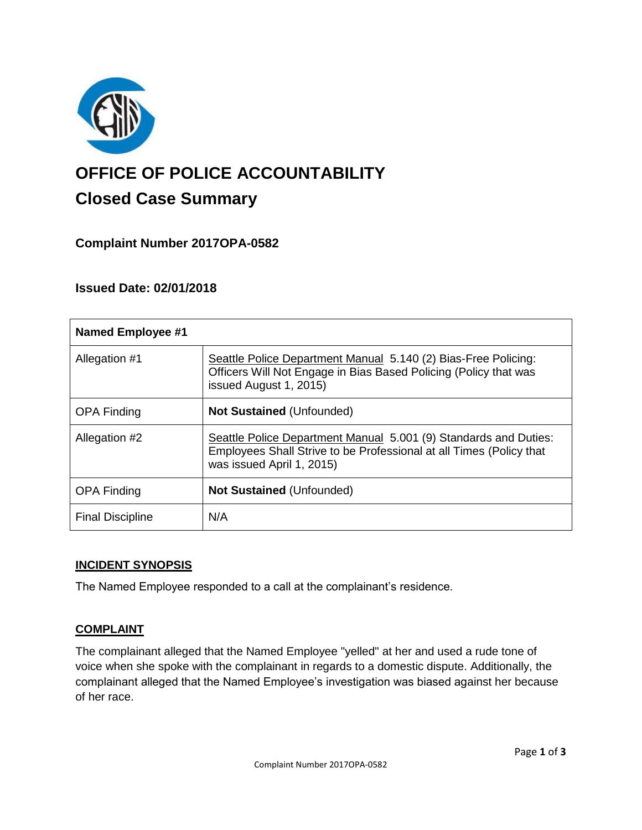

# **OFFICE OF POLICE ACCOUNTABILITY**

# **Closed Case Summary**

## **Complaint Number 2017OPA-0582**

### **Issued Date: 02/01/2018**

| <b>Named Employee #1</b> |                                                                                                                                                                      |
|--------------------------|----------------------------------------------------------------------------------------------------------------------------------------------------------------------|
| Allegation #1            | Seattle Police Department Manual 5.140 (2) Bias-Free Policing:<br>Officers Will Not Engage in Bias Based Policing (Policy that was<br>issued August 1, 2015)         |
| <b>OPA Finding</b>       | <b>Not Sustained (Unfounded)</b>                                                                                                                                     |
| Allegation #2            | Seattle Police Department Manual 5.001 (9) Standards and Duties:<br>Employees Shall Strive to be Professional at all Times (Policy that<br>was issued April 1, 2015) |
| <b>OPA Finding</b>       | <b>Not Sustained (Unfounded)</b>                                                                                                                                     |
| <b>Final Discipline</b>  | N/A                                                                                                                                                                  |

#### **INCIDENT SYNOPSIS**

The Named Employee responded to a call at the complainant's residence.

#### **COMPLAINT**

The complainant alleged that the Named Employee "yelled" at her and used a rude tone of voice when she spoke with the complainant in regards to a domestic dispute. Additionally, the complainant alleged that the Named Employee's investigation was biased against her because of her race.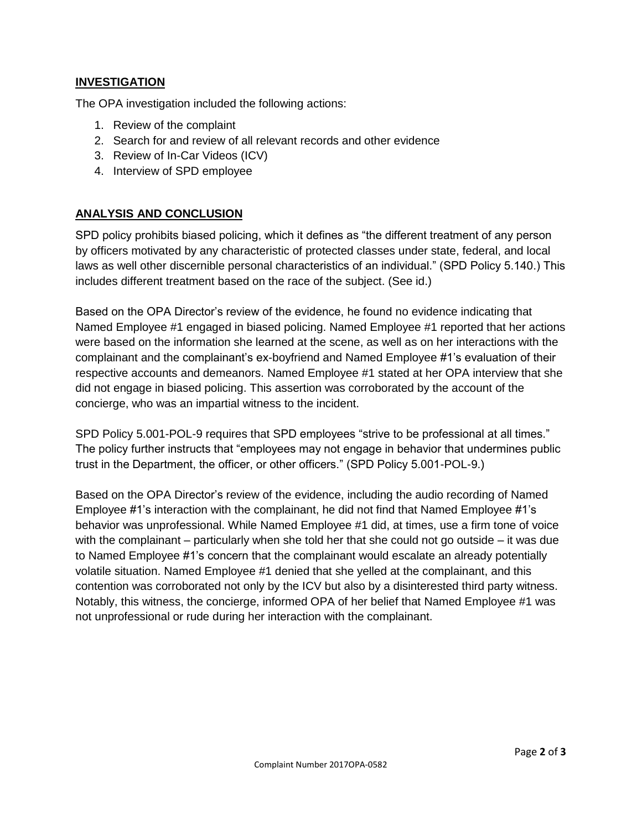#### **INVESTIGATION**

The OPA investigation included the following actions:

- 1. Review of the complaint
- 2. Search for and review of all relevant records and other evidence
- 3. Review of In-Car Videos (ICV)
- 4. Interview of SPD employee

#### **ANALYSIS AND CONCLUSION**

SPD policy prohibits biased policing, which it defines as "the different treatment of any person by officers motivated by any characteristic of protected classes under state, federal, and local laws as well other discernible personal characteristics of an individual." (SPD Policy 5.140.) This includes different treatment based on the race of the subject. (See id.)

Based on the OPA Director's review of the evidence, he found no evidence indicating that Named Employee #1 engaged in biased policing. Named Employee #1 reported that her actions were based on the information she learned at the scene, as well as on her interactions with the complainant and the complainant's ex-boyfriend and Named Employee #1's evaluation of their respective accounts and demeanors. Named Employee #1 stated at her OPA interview that she did not engage in biased policing. This assertion was corroborated by the account of the concierge, who was an impartial witness to the incident.

SPD Policy 5.001-POL-9 requires that SPD employees "strive to be professional at all times." The policy further instructs that "employees may not engage in behavior that undermines public trust in the Department, the officer, or other officers." (SPD Policy 5.001-POL-9.)

Based on the OPA Director's review of the evidence, including the audio recording of Named Employee #1's interaction with the complainant, he did not find that Named Employee #1's behavior was unprofessional. While Named Employee #1 did, at times, use a firm tone of voice with the complainant – particularly when she told her that she could not go outside – it was due to Named Employee #1's concern that the complainant would escalate an already potentially volatile situation. Named Employee #1 denied that she yelled at the complainant, and this contention was corroborated not only by the ICV but also by a disinterested third party witness. Notably, this witness, the concierge, informed OPA of her belief that Named Employee #1 was not unprofessional or rude during her interaction with the complainant.